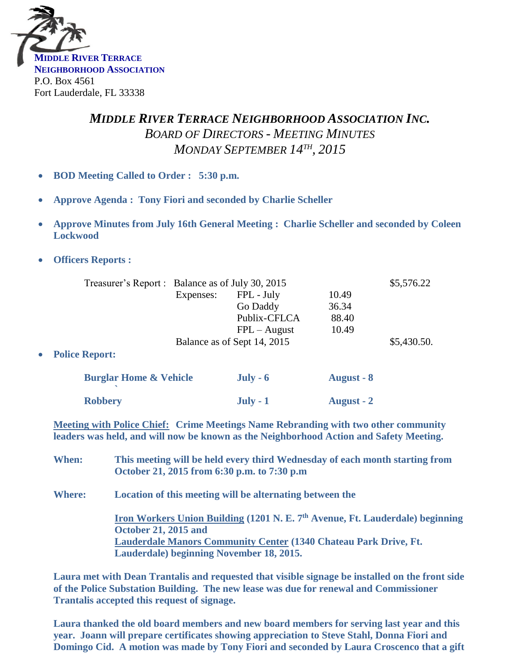

## *MIDDLE RIVER TERRACE NEIGHBORHOOD ASSOCIATION INC. BOARD OF DIRECTORS - MEETING MINUTES MONDAY SEPTEMBER 14TH , 2015*

- **BOD Meeting Called to Order : 5:30 p.m.**
- **Approve Agenda : Tony Fiori and seconded by Charlie Scheller**
- **Approve Minutes from July 16th General Meeting : Charlie Scheller and seconded by Coleen Lockwood**
- **Officers Reports :**

|                                   | Treasurer's Report : Balance as of July 30, 2015 |                |                   | \$5,576.22  |
|-----------------------------------|--------------------------------------------------|----------------|-------------------|-------------|
|                                   | Expenses:                                        | FPL - July     | 10.49             |             |
|                                   |                                                  | Go Daddy       | 36.34             |             |
|                                   |                                                  | Publix-CFLCA   | 88.40             |             |
|                                   |                                                  | $FPL - August$ | 10.49             |             |
|                                   | Balance as of Sept 14, 2015                      |                |                   | \$5,430.50. |
| <b>Police Report:</b>             |                                                  |                |                   |             |
| <b>Burglar Home &amp; Vehicle</b> |                                                  | $July - 6$     | <b>August - 8</b> |             |
| <b>Robbery</b>                    |                                                  | $July - 1$     | <b>August</b> - 2 |             |

**Meeting with Police Chief: Crime Meetings Name Rebranding with two other community leaders was held, and will now be known as the Neighborhood Action and Safety Meeting.** 

- **When: This meeting will be held every third Wednesday of each month starting from October 21, 2015 from 6:30 p.m. to 7:30 p.m**
- **Where: Location of this meeting will be alternating between the**

**Iron Workers Union Building (1201 N. E. 7 th Avenue, Ft. Lauderdale) beginning October 21, 2015 and Lauderdale Manors Community Center (1340 Chateau Park Drive, Ft. Lauderdale) beginning November 18, 2015.**

**Laura met with Dean Trantalis and requested that visible signage be installed on the front side of the Police Substation Building. The new lease was due for renewal and Commissioner Trantalis accepted this request of signage.**

**Laura thanked the old board members and new board members for serving last year and this year. Joann will prepare certificates showing appreciation to Steve Stahl, Donna Fiori and Domingo Cid. A motion was made by Tony Fiori and seconded by Laura Croscenco that a gift**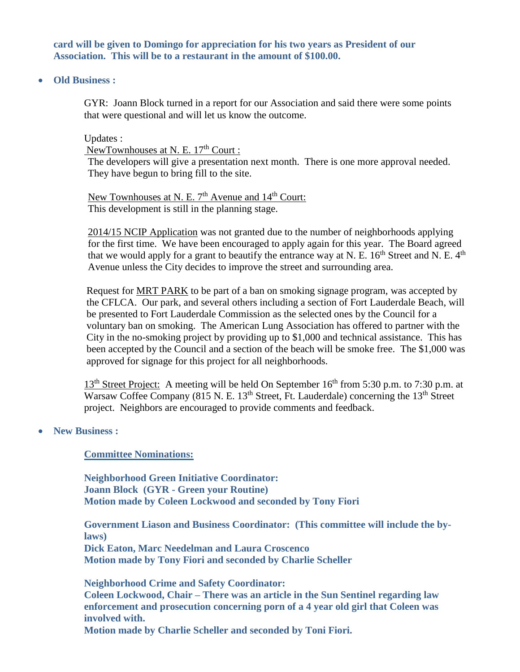**card will be given to Domingo for appreciation for his two years as President of our Association. This will be to a restaurant in the amount of \$100.00.**

**Old Business :**

GYR: Joann Block turned in a report for our Association and said there were some points that were questional and will let us know the outcome.

Updates :

NewTownhouses at N. E. 17<sup>th</sup> Court :

The developers will give a presentation next month. There is one more approval needed. They have begun to bring fill to the site.

New Townhouses at N. E. 7<sup>th</sup> Avenue and 14<sup>th</sup> Court: This development is still in the planning stage.

2014/15 NCIP Application was not granted due to the number of neighborhoods applying for the first time. We have been encouraged to apply again for this year. The Board agreed that we would apply for a grant to beautify the entrance way at N. E.  $16^{th}$  Street and N. E.  $4^{th}$ Avenue unless the City decides to improve the street and surrounding area.

Request for MRT PARK to be part of a ban on smoking signage program, was accepted by the CFLCA. Our park, and several others including a section of Fort Lauderdale Beach, will be presented to Fort Lauderdale Commission as the selected ones by the Council for a voluntary ban on smoking. The American Lung Association has offered to partner with the City in the no-smoking project by providing up to \$1,000 and technical assistance. This has been accepted by the Council and a section of the beach will be smoke free. The \$1,000 was approved for signage for this project for all neighborhoods.

13<sup>th</sup> Street Project: A meeting will be held On September 16<sup>th</sup> from 5:30 p.m. to 7:30 p.m. at Warsaw Coffee Company (815 N. E. 13<sup>th</sup> Street, Ft. Lauderdale) concerning the 13<sup>th</sup> Street project. Neighbors are encouraged to provide comments and feedback.

**New Business :**

## **Committee Nominations:**

**Neighborhood Green Initiative Coordinator: Joann Block (GYR - Green your Routine) Motion made by Coleen Lockwood and seconded by Tony Fiori**

**Government Liason and Business Coordinator: (This committee will include the bylaws) Dick Eaton, Marc Needelman and Laura Croscenco Motion made by Tony Fiori and seconded by Charlie Scheller**

**Neighborhood Crime and Safety Coordinator:**

**Coleen Lockwood, Chair – There was an article in the Sun Sentinel regarding law enforcement and prosecution concerning porn of a 4 year old girl that Coleen was involved with.** 

**Motion made by Charlie Scheller and seconded by Toni Fiori.**